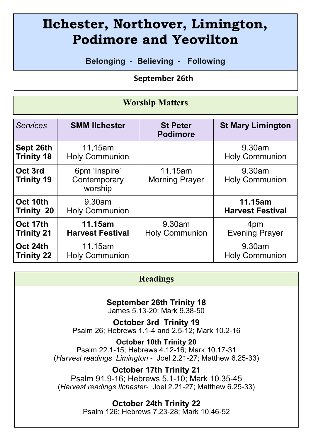# **Ilchester, Northover, Limington, Podimore and Yeovilton**

**Belonging - Believing - Following**

 **September 26th** 

#### **Worship Matters**

| <b>Services</b>              | <b>SMM Ilchester</b>                     | <b>St Peter</b><br><b>Podimore</b> | <b>St Mary Limington</b>        |
|------------------------------|------------------------------------------|------------------------------------|---------------------------------|
| Sept 26th                    | 11,15am                                  |                                    | 9.30am                          |
| <b>Trinity 18</b>            | <b>Holy Communion</b>                    |                                    | <b>Holy Communion</b>           |
| Oct 3rd<br><b>Trinity 19</b> | 6pm 'Inspire'<br>Contemporary<br>worship | 11.15am<br><b>Morning Prayer</b>   | 9.30am<br><b>Holy Communion</b> |
| Oct 10th                     | $9.30$ am                                |                                    | 11.15am                         |
| Trinity 20                   | <b>Holy Communion</b>                    |                                    | <b>Harvest Festival</b>         |
| Oct 17th                     | 11.15am                                  | 9.30am                             | 4pm                             |
| <b>Trinity 21</b>            | <b>Harvest Festival</b>                  | <b>Holy Communion</b>              | <b>Evening Prayer</b>           |
| Oct 24th                     | 11.15am                                  |                                    | 9.30am                          |
| <b>Trinity 22</b>            | <b>Holy Communion</b>                    |                                    | <b>Holy Communion</b>           |

#### **Readings**

## **September 26th Trinity 18**

James 5.13-20; Mark 9.38-50

**October 3rd Trinity 19** Psalm 26; Hebrews 1.1-4 and 2.5-12; Mark 10.2-16

**October 10th Trinity 20** Psalm 22.1-15; Hebrews 4.12-16; Mark 10.17-31 (*Harvest readings Limington* - Joel 2.21-27; Matthew 6.25-33)

**October 17th Trinity 21**

Psalm 91.9-16; Hebrews 5.1-10; Mark 10.35-45 (*Harvest readings Ilchester*- Joel 2.21-27; Matthew 6.25-33)

## **October 24th Trinity 22**

Psalm 126; Hebrews 7.23-28; Mark 10.46-52